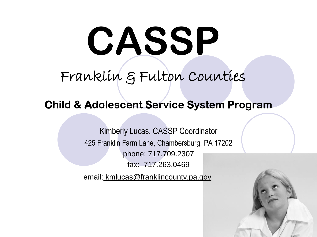# **CASSP**

## Franklin & Fulton Counties

#### **Child & Adolescent Service System Program**

Kimberly Lucas, CASSP Coordinator 425 Franklin Farm Lane, Chambersburg, PA 17202 phone: 717.709.2307 fax: 717.263.0469

email: kmlucas@franklincounty.pa.gov

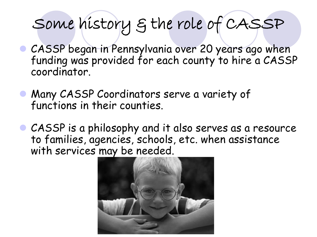## Some history & the role of CASSP

- **CASSP** began in Pennsylvania over 20 years ago when funding was provided for each county to hire a CASSP coordinator.
- **Many CASSP Coordinators serve a variety of** functions in their counties.
- CASSP is a philosophy and it also serves as a resource to families, agencies, schools, etc. when assistance with services may be needed.

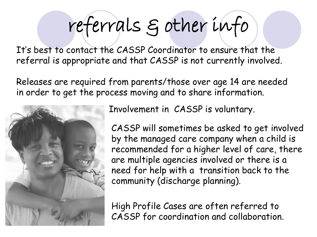## referrals & other info

It's best to contact the CASSP Coordinator to ensure that the referral is appropriate and that CASSP is not currently involved.

Releases are required from parents/those over age 14 are needed in order to get the process moving and to share information.



Involvement in CASSP is voluntary.

CASSP will sometimes be asked to get involved by the managed care company when a child is recommended for a higher level of care, there are multiple agencies involved or there is a need for help with a transition back to the community (discharge planning).

High Profile Cases are often referred to CASSP for coordination and collaboration.